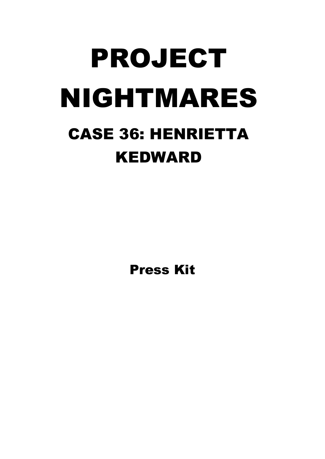# PROJECT NIGHTMARES CASE 36: HENRIETTA KEDWARD

Press Kit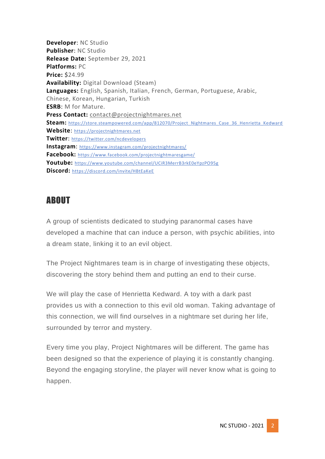**Developer**: NC Studio **Publisher**: NC Studio **Release Date:** September 29, 2021 **Platforms:** PC **Price: \$**24.99 **Availability:** Digital Download (Steam) **Languages:** English, Spanish, Italian, French, German, Portuguese, Arabic, Chinese, Korean, Hungarian, Turkish **ESRB**: M for Mature. **Press Contact:** [contact@projectnightmares.net](mailto:contact@projectnightmares.net) Steam: [https://store.steampowered.com/app/812070/Project\\_Nightmares\\_Case\\_36\\_Henrietta\\_Kedward](https://store.steampowered.com/app/812070/Project_Nightmares_Case_36_Henrietta_Kedward) **Website**: [https://projectnightmares.net](https://projectnightmares.net/) **Twitter**: <https://twitter.com/ncdevelopers> **Instagram**: <https://www.instagram.com/projectnightmares/> **Facebook:** <https://www.facebook.com/projectnightmaresgame/> **Youtube:** <https://www.youtube.com/channel/UCiR3MerrB3rkE0eYpzPO95g> **Discord:** <https://discord.com/invite/HBtEaKeE>

## ABOUT

A group of scientists dedicated to studying paranormal cases have developed a machine that can induce a person, with psychic abilities, into a dream state, linking it to an evil object.

The Project Nightmares team is in charge of investigating these objects, discovering the story behind them and putting an end to their curse.

We will play the case of Henrietta Kedward. A toy with a dark past provides us with a connection to this evil old woman. Taking advantage of this connection, we will find ourselves in a nightmare set during her life, surrounded by terror and mystery.

Every time you play, Project Nightmares will be different. The game has been designed so that the experience of playing it is constantly changing. Beyond the engaging storyline, the player will never know what is going to happen.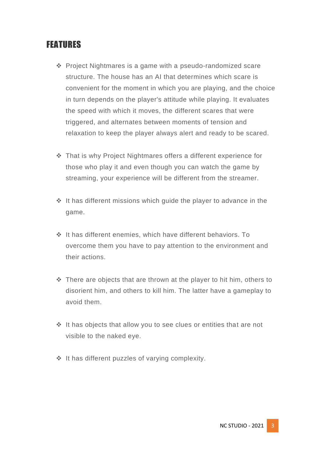## **FEATURES**

- ❖ Project Nightmares is a game with a pseudo-randomized scare structure. The house has an AI that determines which scare is convenient for the moment in which you are playing, and the choice in turn depends on the player's attitude while playing. It evaluates the speed with which it moves, the different scares that were triggered, and alternates between moments of tension and relaxation to keep the player always alert and ready to be scared.
- ❖ That is why Project Nightmares offers a different experience for those who play it and even though you can watch the game by streaming, your experience will be different from the streamer.
- ❖ It has different missions which guide the player to advance in the game.
- ❖ It has different enemies, which have different behaviors. To overcome them you have to pay attention to the environment and their actions.
- ❖ There are objects that are thrown at the player to hit him, others to disorient him, and others to kill him. The latter have a gameplay to avoid them.
- ❖ It has objects that allow you to see clues or entities that are not visible to the naked eye.
- ❖ It has different puzzles of varying complexity.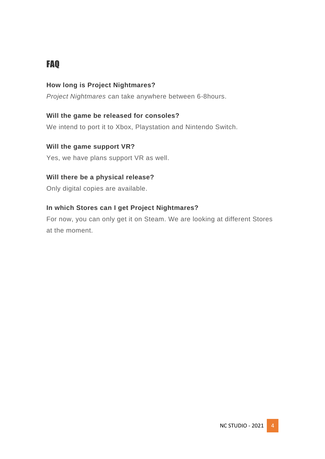# FAQ

#### **How long is Project Nightmares?**

*Project Nightmares* can take anywhere between 6-8hours.

#### **Will the game be released for consoles?**

We intend to port it to Xbox, Playstation and Nintendo Switch.

#### **Will the game support VR?**

Yes, we have plans support VR as well.

#### **Will there be a physical release?**

Only digital copies are available.

#### **In which Stores can I get Project Nightmares?**

For now, you can only get it on Steam. We are looking at different Stores at the moment.